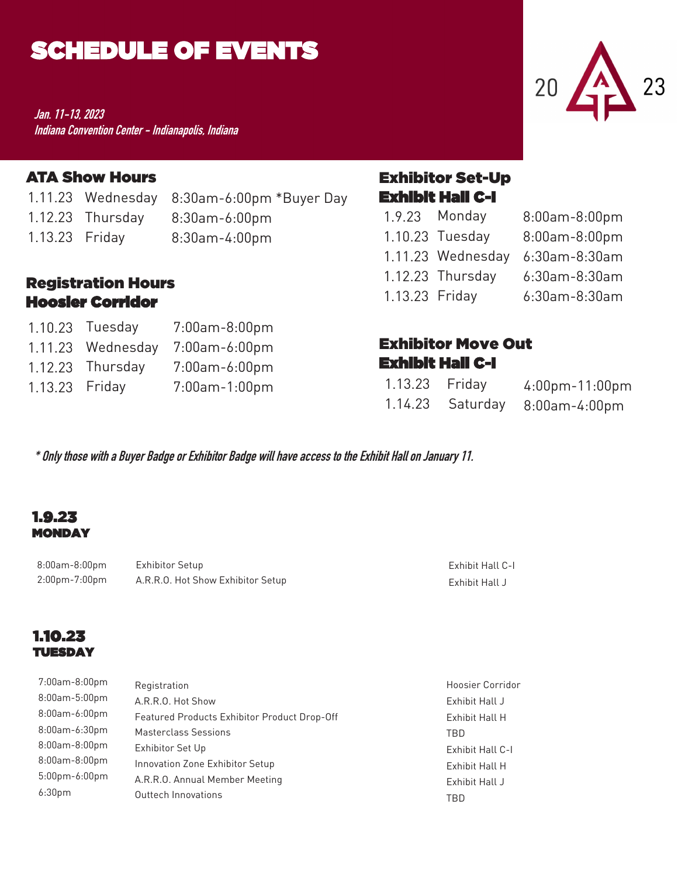## SCHEDULE OF EVENTS

**Jan. 11-13, 2023 Indiana Convention Center - Indianapolis, Indiana**

#### ATA Show Hours

1.11.23 Wednesday 8:30am-6:00pm \*Buyer Day

- 
- 8:30am-6:00pm 1.12.23 Thursday
- 1.13.23 Friday 8:30am-4:00pm

#### Registration Hours Hoosier Corridor

|                | 1.10.23 Tuesday   | 7:00am-8:00pm |
|----------------|-------------------|---------------|
|                | 1.11.23 Wednesday | 7:00am-6:00pm |
|                | 1.12.23 Thursday  | 7:00am-6:00pm |
| 1.13.23 Friday |                   | 7:00am-1:00pm |

# Exhibitor Set-Up

Exhibit Hall C-I

|                | 1.9.23 Monday     | 8:00am-8:00pm |
|----------------|-------------------|---------------|
|                | 1.10.23 Tuesday   | 8:00am-8:00pm |
|                | 1.11.23 Wednesday | 6:30am-8:30am |
|                | 1.12.23 Thursday  | 6:30am-8:30am |
| 1.13.23 Friday |                   | 6:30am-8:30am |

#### Exhibitor Move Out Exhibit Hall C-I

| 1.13.23 Friday |                  | $4:00$ pm $-11:00$ pm |
|----------------|------------------|-----------------------|
|                | 1.14.23 Saturday | 8:00am-4:00pm         |

**\* Only those with a Buyer Badge or Exhibitor Badge will have access to the Exhibit Hall on January 11.**

#### 1.9.23 MONDAY

8:00am-8:00pm 2:00pm-7:00pm Exhibitor Setup A.R.R.O. Hot Show Exhibitor Setup

#### Exhibit Hall C-I Exhibit Hall J

#### 1.10.23 TUESDAY

| 7:00am-8:00pm      | Registration                                 | <b>Hoosier Corridor</b> |
|--------------------|----------------------------------------------|-------------------------|
| 8:00am-5:00pm      | A.R.R.O. Hot Show                            | Exhibit Hall J          |
| 8:00am-6:00pm      | Featured Products Exhibitor Product Drop-Off | Exhibit Hall H          |
| 8:00am-6:30pm      | <b>Masterclass Sessions</b>                  | TBD                     |
| 8:00am-8:00pm      | Exhibitor Set Up                             | Exhibit Hall C-I        |
| 8:00am-8:00pm      | Innovation Zone Exhibitor Setup              | Exhibit Hall H          |
| $5:00$ pm-6:00pm   | A.R.R.O. Annual Member Meeting               | Exhibit Hall J          |
| 6:30 <sub>pm</sub> | Outtech Innovations                          | TBD                     |